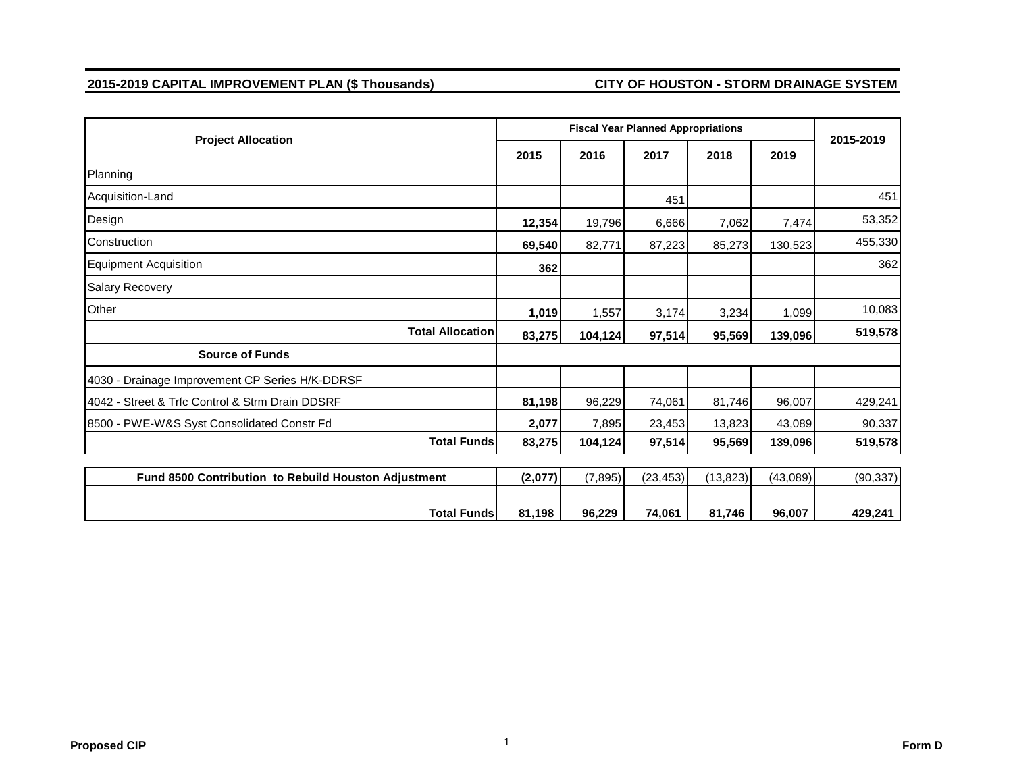#### **2015-2019 CAPITAL IMPROVEMENT PLAN (\$ Thousands) CITY OF HOUSTON - STORM DRAINAGE SYSTEM**

|                                                      |         |          | <b>Fiscal Year Planned Appropriations</b> |           |          | 2015-2019 |
|------------------------------------------------------|---------|----------|-------------------------------------------|-----------|----------|-----------|
| <b>Project Allocation</b>                            | 2015    | 2016     | 2017                                      | 2018      | 2019     |           |
| Planning                                             |         |          |                                           |           |          |           |
| Acquisition-Land                                     |         |          | 451                                       |           |          | 451       |
| Design                                               | 12,354  | 19,796   | 6,666                                     | 7,062     | 7,474    | 53,352    |
| Construction                                         | 69,540  | 82,771   | 87,223                                    | 85,273    | 130,523  | 455,330   |
| <b>Equipment Acquisition</b>                         | 362     |          |                                           |           |          | 362       |
| <b>Salary Recovery</b>                               |         |          |                                           |           |          |           |
| Other                                                | 1,019   | 1,557    | 3,174                                     | 3,234     | 1,099    | 10,083    |
| <b>Total Allocation</b>                              | 83,275  | 104,124  | 97,514                                    | 95,569    | 139,096  | 519,578   |
| <b>Source of Funds</b>                               |         |          |                                           |           |          |           |
| 4030 - Drainage Improvement CP Series H/K-DDRSF      |         |          |                                           |           |          |           |
| 4042 - Street & Trfc Control & Strm Drain DDSRF      | 81,198  | 96,229   | 74,061                                    | 81,746    | 96,007   | 429,241   |
| 8500 - PWE-W&S Syst Consolidated Constr Fd           | 2,077   | 7,895    | 23,453                                    | 13,823    | 43,089   | 90,337    |
| <b>Total Funds</b>                                   | 83,275  | 104,124  | 97,514                                    | 95,569    | 139,096  | 519,578   |
| Fund 8500 Contribution to Rebuild Houston Adjustment | (2,077) | (7, 895) | (23, 453)                                 | (13, 823) | (43,089) | (90, 337) |
| <b>Total Funds</b>                                   | 81,198  | 96.229   | 74.061                                    | 81,746    | 96,007   | 429,241   |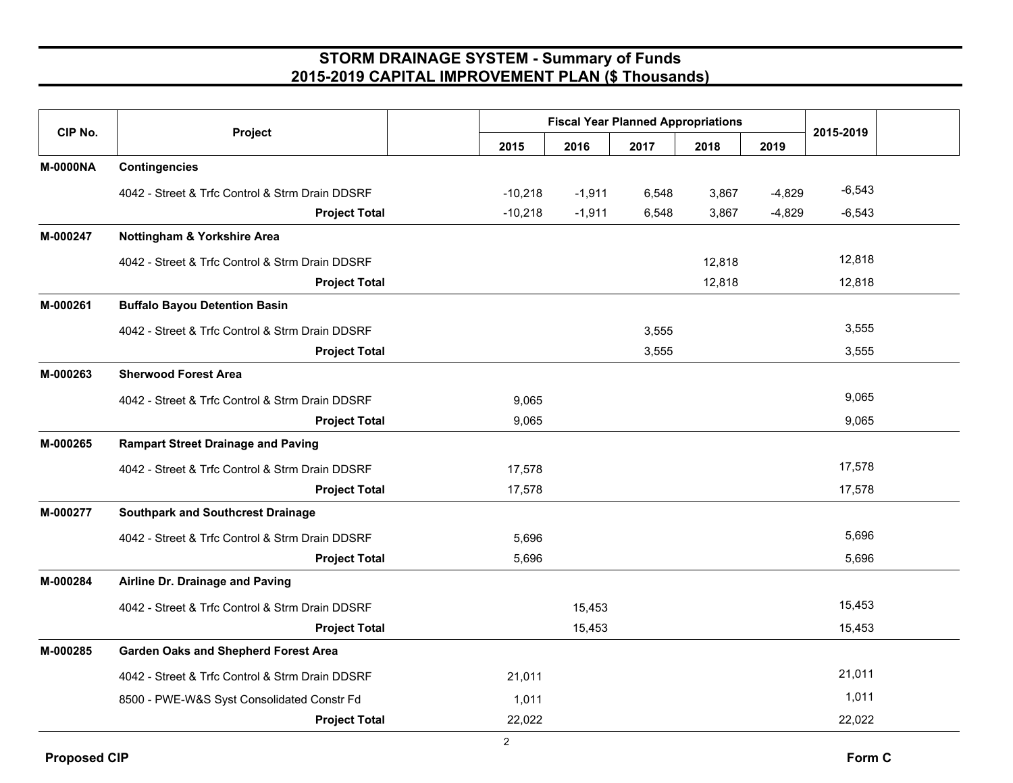| CIP No.         | Project                                         |           |          | <b>Fiscal Year Planned Appropriations</b> |        |          | 2015-2019 |  |
|-----------------|-------------------------------------------------|-----------|----------|-------------------------------------------|--------|----------|-----------|--|
|                 |                                                 | 2015      | 2016     | 2017                                      | 2018   | 2019     |           |  |
| <b>M-0000NA</b> | <b>Contingencies</b>                            |           |          |                                           |        |          |           |  |
|                 | 4042 - Street & Trfc Control & Strm Drain DDSRF | $-10,218$ | $-1,911$ | 6,548                                     | 3,867  | $-4,829$ | $-6,543$  |  |
|                 | <b>Project Total</b>                            | $-10,218$ | $-1,911$ | 6,548                                     | 3,867  | $-4,829$ | $-6,543$  |  |
| M-000247        | Nottingham & Yorkshire Area                     |           |          |                                           |        |          |           |  |
|                 | 4042 - Street & Trfc Control & Strm Drain DDSRF |           |          |                                           | 12,818 |          | 12,818    |  |
|                 | <b>Project Total</b>                            |           |          |                                           | 12,818 |          | 12,818    |  |
| M-000261        | <b>Buffalo Bayou Detention Basin</b>            |           |          |                                           |        |          |           |  |
|                 | 4042 - Street & Trfc Control & Strm Drain DDSRF |           |          | 3,555                                     |        |          | 3,555     |  |
|                 | <b>Project Total</b>                            |           |          | 3,555                                     |        |          | 3,555     |  |
| M-000263        | <b>Sherwood Forest Area</b>                     |           |          |                                           |        |          |           |  |
|                 | 4042 - Street & Trfc Control & Strm Drain DDSRF | 9,065     |          |                                           |        |          | 9,065     |  |
|                 | <b>Project Total</b>                            | 9,065     |          |                                           |        |          | 9,065     |  |
| M-000265        | <b>Rampart Street Drainage and Paving</b>       |           |          |                                           |        |          |           |  |
|                 | 4042 - Street & Trfc Control & Strm Drain DDSRF | 17,578    |          |                                           |        |          | 17,578    |  |
|                 | <b>Project Total</b>                            | 17,578    |          |                                           |        |          | 17,578    |  |
| M-000277        | <b>Southpark and Southcrest Drainage</b>        |           |          |                                           |        |          |           |  |
|                 | 4042 - Street & Trfc Control & Strm Drain DDSRF | 5,696     |          |                                           |        |          | 5,696     |  |
|                 | <b>Project Total</b>                            | 5,696     |          |                                           |        |          | 5,696     |  |
| M-000284        | Airline Dr. Drainage and Paving                 |           |          |                                           |        |          |           |  |
|                 | 4042 - Street & Trfc Control & Strm Drain DDSRF |           | 15,453   |                                           |        |          | 15,453    |  |
|                 | <b>Project Total</b>                            |           | 15,453   |                                           |        |          | 15,453    |  |
| M-000285        | <b>Garden Oaks and Shepherd Forest Area</b>     |           |          |                                           |        |          |           |  |
|                 | 4042 - Street & Trfc Control & Strm Drain DDSRF | 21,011    |          |                                           |        |          | 21,011    |  |
|                 | 8500 - PWE-W&S Syst Consolidated Constr Fd      | 1,011     |          |                                           |        |          | 1,011     |  |
|                 | <b>Project Total</b>                            | 22,022    |          |                                           |        |          | 22,022    |  |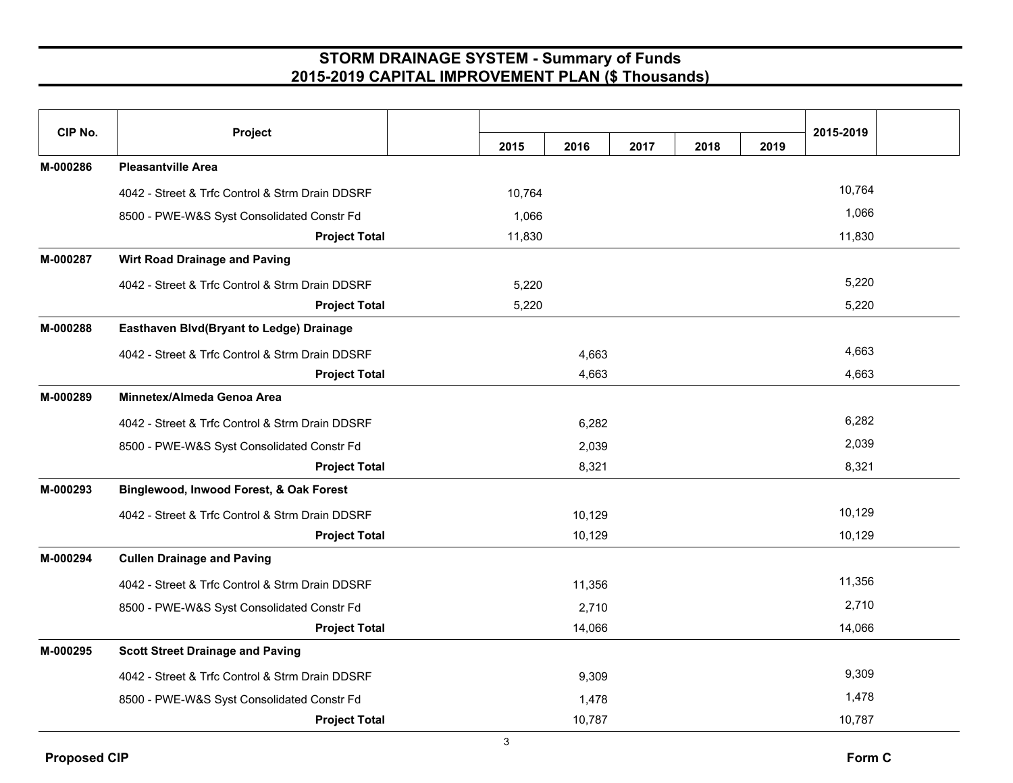| CIP No.  | Project                                         | 2015   | 2016   | 2017 | 2018 | 2019 | 2015-2019 |
|----------|-------------------------------------------------|--------|--------|------|------|------|-----------|
| M-000286 | <b>Pleasantville Area</b>                       |        |        |      |      |      |           |
|          | 4042 - Street & Trfc Control & Strm Drain DDSRF | 10,764 |        |      |      |      | 10,764    |
|          | 8500 - PWE-W&S Syst Consolidated Constr Fd      | 1,066  |        |      |      |      | 1,066     |
|          | <b>Project Total</b>                            | 11,830 |        |      |      |      | 11,830    |
| M-000287 | <b>Wirt Road Drainage and Paving</b>            |        |        |      |      |      |           |
|          | 4042 - Street & Trfc Control & Strm Drain DDSRF | 5,220  |        |      |      |      | 5,220     |
|          | <b>Project Total</b>                            | 5,220  |        |      |      |      | 5,220     |
| M-000288 | Easthaven Blvd(Bryant to Ledge) Drainage        |        |        |      |      |      |           |
|          | 4042 - Street & Trfc Control & Strm Drain DDSRF |        | 4,663  |      |      |      | 4,663     |
|          | <b>Project Total</b>                            |        | 4,663  |      |      |      | 4,663     |
| M-000289 | Minnetex/Almeda Genoa Area                      |        |        |      |      |      |           |
|          | 4042 - Street & Trfc Control & Strm Drain DDSRF |        | 6,282  |      |      |      | 6,282     |
|          | 8500 - PWE-W&S Syst Consolidated Constr Fd      |        | 2,039  |      |      |      | 2,039     |
|          | <b>Project Total</b>                            |        | 8,321  |      |      |      | 8,321     |
| M-000293 | Binglewood, Inwood Forest, & Oak Forest         |        |        |      |      |      |           |
|          | 4042 - Street & Trfc Control & Strm Drain DDSRF |        | 10,129 |      |      |      | 10,129    |
|          | <b>Project Total</b>                            |        | 10,129 |      |      |      | 10,129    |
| M-000294 | <b>Cullen Drainage and Paving</b>               |        |        |      |      |      |           |
|          | 4042 - Street & Trfc Control & Strm Drain DDSRF |        | 11,356 |      |      |      | 11,356    |
|          | 8500 - PWE-W&S Syst Consolidated Constr Fd      |        | 2,710  |      |      |      | 2,710     |
|          | <b>Project Total</b>                            |        | 14,066 |      |      |      | 14,066    |
| M-000295 | <b>Scott Street Drainage and Paving</b>         |        |        |      |      |      |           |
|          | 4042 - Street & Trfc Control & Strm Drain DDSRF |        | 9,309  |      |      |      | 9,309     |
|          | 8500 - PWE-W&S Syst Consolidated Constr Fd      |        | 1,478  |      |      |      | 1,478     |
|          | <b>Project Total</b>                            |        | 10,787 |      |      |      | 10,787    |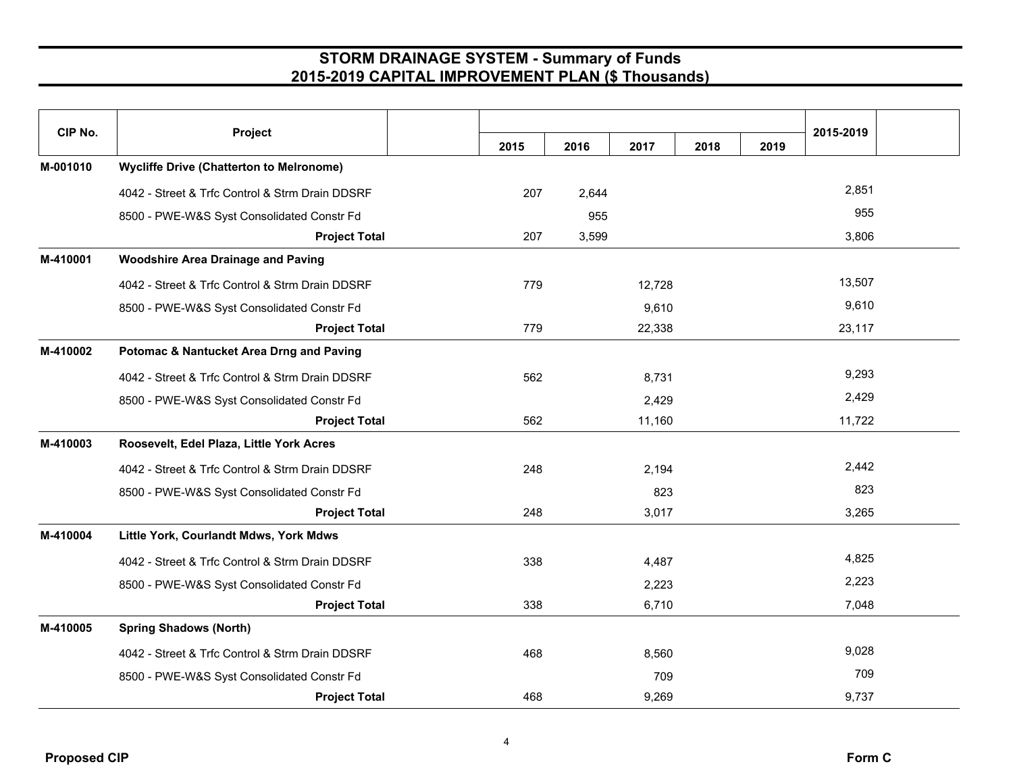| CIP No.  | Project                                             |      |       |        |      |      | 2015-2019 |  |
|----------|-----------------------------------------------------|------|-------|--------|------|------|-----------|--|
|          |                                                     | 2015 | 2016  | 2017   | 2018 | 2019 |           |  |
| M-001010 | <b>Wycliffe Drive (Chatterton to Melronome)</b>     |      |       |        |      |      |           |  |
|          | 4042 - Street & Trfc Control & Strm Drain DDSRF     | 207  | 2,644 |        |      |      | 2,851     |  |
|          | 8500 - PWE-W&S Syst Consolidated Constr Fd          |      | 955   |        |      |      | 955       |  |
|          | <b>Project Total</b>                                | 207  | 3,599 |        |      |      | 3,806     |  |
| M-410001 | <b>Woodshire Area Drainage and Paving</b>           |      |       |        |      |      |           |  |
|          | 4042 - Street & Trfc Control & Strm Drain DDSRF     | 779  |       | 12,728 |      |      | 13,507    |  |
|          | 8500 - PWE-W&S Syst Consolidated Constr Fd          |      |       | 9,610  |      |      | 9,610     |  |
|          | <b>Project Total</b>                                | 779  |       | 22,338 |      |      | 23,117    |  |
| M-410002 | <b>Potomac &amp; Nantucket Area Drng and Paving</b> |      |       |        |      |      |           |  |
|          | 4042 - Street & Trfc Control & Strm Drain DDSRF     | 562  |       | 8,731  |      |      | 9,293     |  |
|          | 8500 - PWE-W&S Syst Consolidated Constr Fd          |      |       | 2,429  |      |      | 2,429     |  |
|          | <b>Project Total</b>                                | 562  |       | 11,160 |      |      | 11,722    |  |
| M-410003 | Roosevelt, Edel Plaza, Little York Acres            |      |       |        |      |      |           |  |
|          | 4042 - Street & Trfc Control & Strm Drain DDSRF     | 248  |       | 2,194  |      |      | 2,442     |  |
|          | 8500 - PWE-W&S Syst Consolidated Constr Fd          |      |       | 823    |      |      | 823       |  |
|          | <b>Project Total</b>                                | 248  |       | 3,017  |      |      | 3,265     |  |
| M-410004 | Little York, Courlandt Mdws, York Mdws              |      |       |        |      |      |           |  |
|          | 4042 - Street & Trfc Control & Strm Drain DDSRF     | 338  |       | 4,487  |      |      | 4,825     |  |
|          | 8500 - PWE-W&S Syst Consolidated Constr Fd          |      |       | 2,223  |      |      | 2,223     |  |
|          | <b>Project Total</b>                                | 338  |       | 6,710  |      |      | 7,048     |  |
| M-410005 | <b>Spring Shadows (North)</b>                       |      |       |        |      |      |           |  |
|          | 4042 - Street & Trfc Control & Strm Drain DDSRF     | 468  |       | 8,560  |      |      | 9,028     |  |
|          | 8500 - PWE-W&S Syst Consolidated Constr Fd          |      |       | 709    |      |      | 709       |  |
|          | <b>Project Total</b>                                | 468  |       | 9,269  |      |      | 9,737     |  |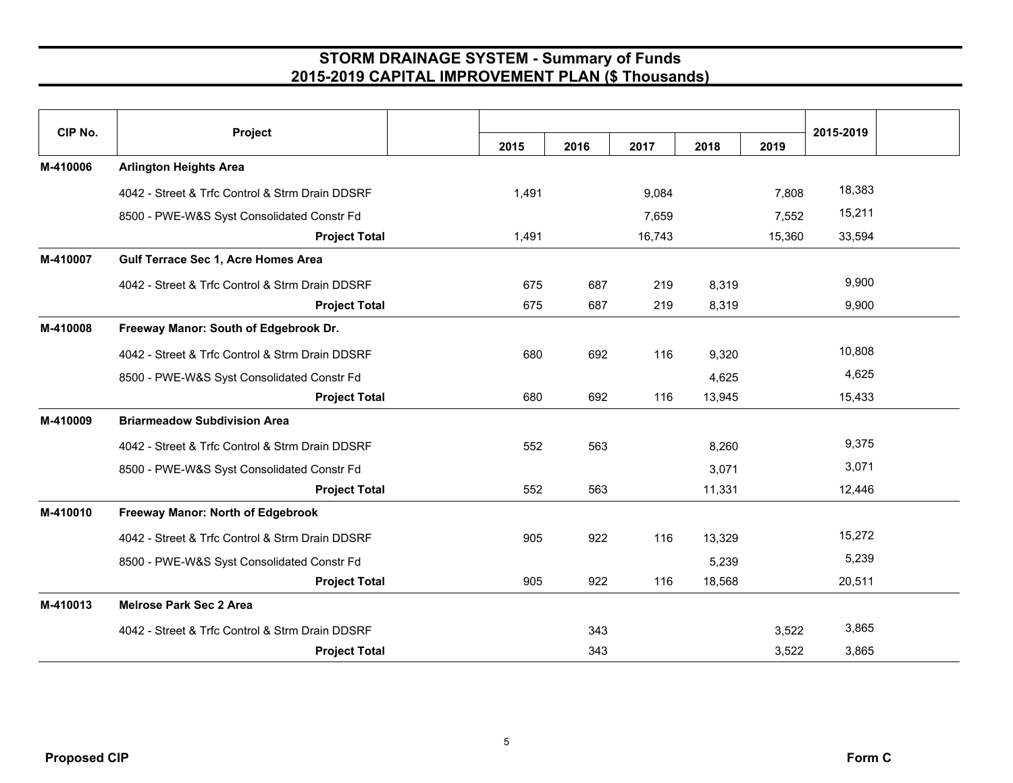| CIP No.  | Project                                         | 2015  | 2016 | 2017   | 2018   | 2019   | 2015-2019 |  |
|----------|-------------------------------------------------|-------|------|--------|--------|--------|-----------|--|
| M-410006 | <b>Arlington Heights Area</b>                   |       |      |        |        |        |           |  |
|          | 4042 - Street & Trfc Control & Strm Drain DDSRF | 1,491 |      | 9,084  |        | 7,808  | 18,383    |  |
|          | 8500 - PWE-W&S Syst Consolidated Constr Fd      |       |      | 7,659  |        | 7,552  | 15,211    |  |
|          | <b>Project Total</b>                            | 1,491 |      | 16,743 |        | 15,360 | 33,594    |  |
| M-410007 | Gulf Terrace Sec 1, Acre Homes Area             |       |      |        |        |        |           |  |
|          | 4042 - Street & Trfc Control & Strm Drain DDSRF | 675   | 687  | 219    | 8,319  |        | 9,900     |  |
|          | <b>Project Total</b>                            | 675   | 687  | 219    | 8,319  |        | 9,900     |  |
| M-410008 | Freeway Manor: South of Edgebrook Dr.           |       |      |        |        |        |           |  |
|          | 4042 - Street & Trfc Control & Strm Drain DDSRF | 680   | 692  | 116    | 9,320  |        | 10,808    |  |
|          | 8500 - PWE-W&S Syst Consolidated Constr Fd      |       |      |        | 4,625  |        | 4,625     |  |
|          | <b>Project Total</b>                            | 680   | 692  | 116    | 13,945 |        | 15,433    |  |
| M-410009 | <b>Briarmeadow Subdivision Area</b>             |       |      |        |        |        |           |  |
|          | 4042 - Street & Trfc Control & Strm Drain DDSRF | 552   | 563  |        | 8,260  |        | 9,375     |  |
|          | 8500 - PWE-W&S Syst Consolidated Constr Fd      |       |      |        | 3,071  |        | 3,071     |  |
|          | <b>Project Total</b>                            | 552   | 563  |        | 11,331 |        | 12,446    |  |
| M-410010 | Freeway Manor: North of Edgebrook               |       |      |        |        |        |           |  |
|          | 4042 - Street & Trfc Control & Strm Drain DDSRF | 905   | 922  | 116    | 13,329 |        | 15,272    |  |
|          | 8500 - PWE-W&S Syst Consolidated Constr Fd      |       |      |        | 5,239  |        | 5,239     |  |
|          | <b>Project Total</b>                            | 905   | 922  | 116    | 18,568 |        | 20,511    |  |
| M-410013 | <b>Melrose Park Sec 2 Area</b>                  |       |      |        |        |        |           |  |
|          | 4042 - Street & Trfc Control & Strm Drain DDSRF |       | 343  |        |        | 3,522  | 3,865     |  |
|          | <b>Project Total</b>                            |       | 343  |        |        | 3,522  | 3,865     |  |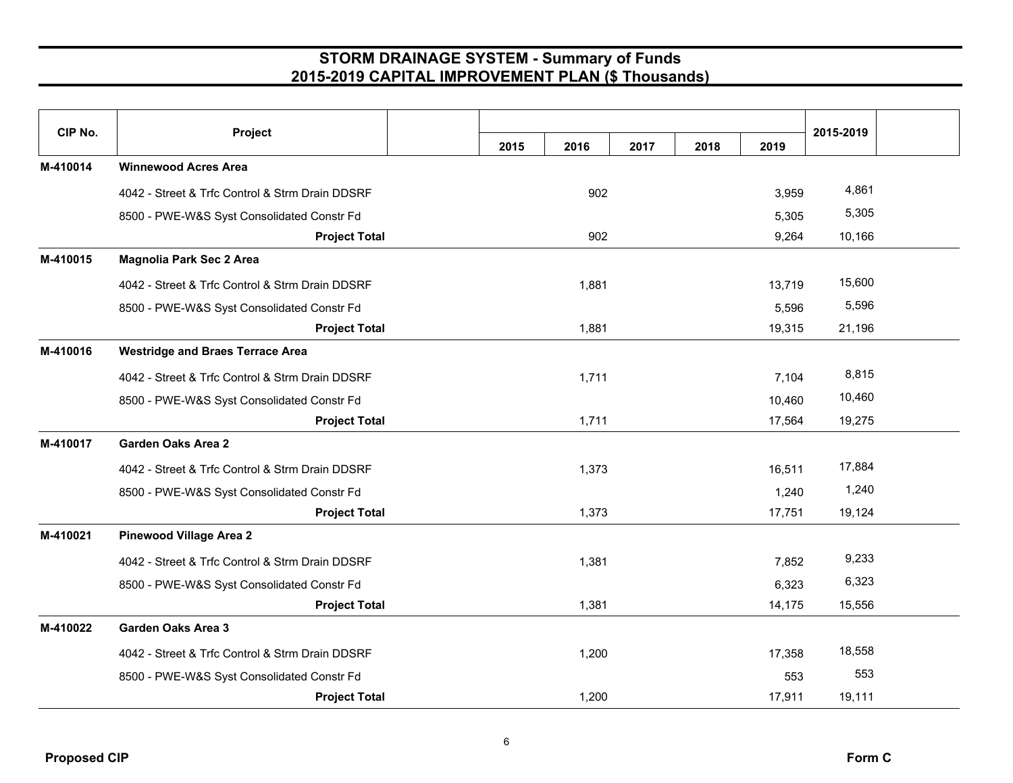| CIP No.  | Project                                         |      |       |      |      |        | 2015-2019 |  |
|----------|-------------------------------------------------|------|-------|------|------|--------|-----------|--|
|          |                                                 | 2015 | 2016  | 2017 | 2018 | 2019   |           |  |
| M-410014 | <b>Winnewood Acres Area</b>                     |      |       |      |      |        |           |  |
|          | 4042 - Street & Trfc Control & Strm Drain DDSRF |      | 902   |      |      | 3,959  | 4,861     |  |
|          | 8500 - PWE-W&S Syst Consolidated Constr Fd      |      |       |      |      | 5,305  | 5,305     |  |
|          | <b>Project Total</b>                            |      | 902   |      |      | 9,264  | 10,166    |  |
| M-410015 | <b>Magnolia Park Sec 2 Area</b>                 |      |       |      |      |        |           |  |
|          | 4042 - Street & Trfc Control & Strm Drain DDSRF |      | 1,881 |      |      | 13,719 | 15,600    |  |
|          | 8500 - PWE-W&S Syst Consolidated Constr Fd      |      |       |      |      | 5,596  | 5,596     |  |
|          | <b>Project Total</b>                            |      | 1,881 |      |      | 19,315 | 21,196    |  |
| M-410016 | <b>Westridge and Braes Terrace Area</b>         |      |       |      |      |        |           |  |
|          | 4042 - Street & Trfc Control & Strm Drain DDSRF |      | 1,711 |      |      | 7,104  | 8,815     |  |
|          | 8500 - PWE-W&S Syst Consolidated Constr Fd      |      |       |      |      | 10,460 | 10,460    |  |
|          | <b>Project Total</b>                            |      | 1,711 |      |      | 17,564 | 19,275    |  |
| M-410017 | <b>Garden Oaks Area 2</b>                       |      |       |      |      |        |           |  |
|          | 4042 - Street & Trfc Control & Strm Drain DDSRF |      | 1,373 |      |      | 16,511 | 17,884    |  |
|          | 8500 - PWE-W&S Syst Consolidated Constr Fd      |      |       |      |      | 1,240  | 1,240     |  |
|          | <b>Project Total</b>                            |      | 1,373 |      |      | 17,751 | 19,124    |  |
| M-410021 | <b>Pinewood Village Area 2</b>                  |      |       |      |      |        |           |  |
|          | 4042 - Street & Trfc Control & Strm Drain DDSRF |      | 1,381 |      |      | 7,852  | 9,233     |  |
|          | 8500 - PWE-W&S Syst Consolidated Constr Fd      |      |       |      |      | 6,323  | 6,323     |  |
|          | <b>Project Total</b>                            |      | 1,381 |      |      | 14,175 | 15,556    |  |
| M-410022 | <b>Garden Oaks Area 3</b>                       |      |       |      |      |        |           |  |
|          | 4042 - Street & Trfc Control & Strm Drain DDSRF |      | 1,200 |      |      | 17,358 | 18,558    |  |
|          | 8500 - PWE-W&S Syst Consolidated Constr Fd      |      |       |      |      | 553    | 553       |  |
|          | <b>Project Total</b>                            |      | 1,200 |      |      | 17,911 | 19,111    |  |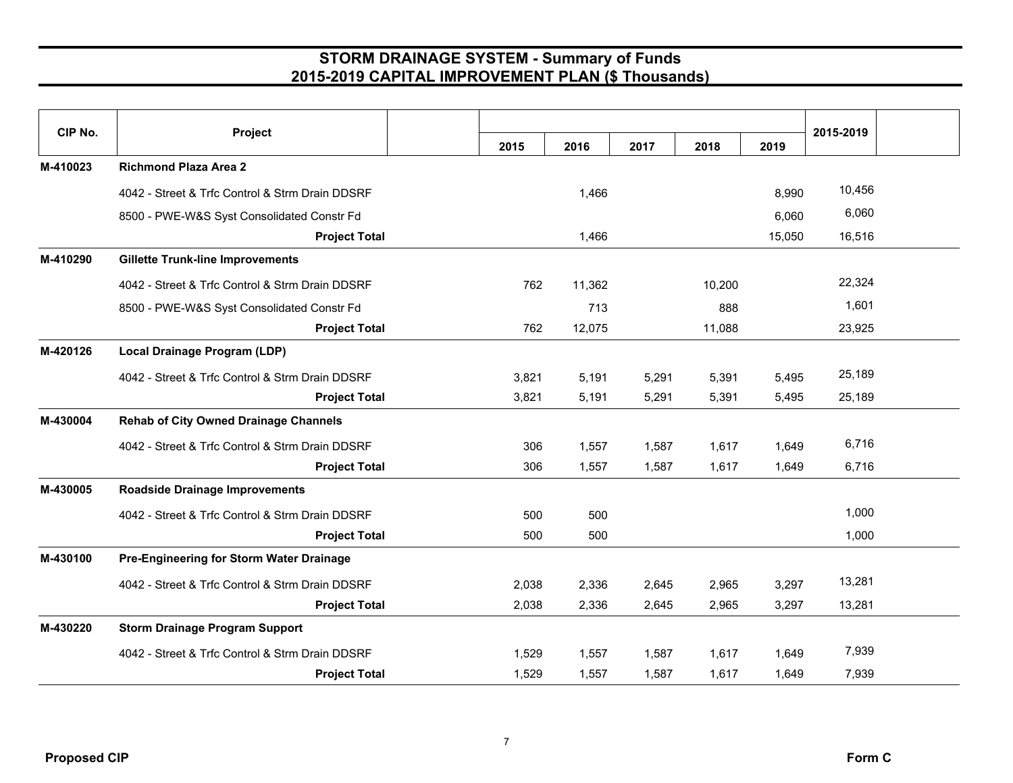| CIP No.  | Project                                         | 2015  | 2016   | 2017  | 2018   | 2019   | 2015-2019 |
|----------|-------------------------------------------------|-------|--------|-------|--------|--------|-----------|
| M-410023 | <b>Richmond Plaza Area 2</b>                    |       |        |       |        |        |           |
|          | 4042 - Street & Trfc Control & Strm Drain DDSRF |       | 1,466  |       |        | 8,990  | 10,456    |
|          | 8500 - PWE-W&S Syst Consolidated Constr Fd      |       |        |       |        | 6,060  | 6,060     |
|          | <b>Project Total</b>                            |       | 1,466  |       |        | 15,050 | 16,516    |
| M-410290 | <b>Gillette Trunk-line Improvements</b>         |       |        |       |        |        |           |
|          | 4042 - Street & Trfc Control & Strm Drain DDSRF | 762   | 11,362 |       | 10,200 |        | 22,324    |
|          | 8500 - PWE-W&S Syst Consolidated Constr Fd      |       | 713    |       | 888    |        | 1,601     |
|          | <b>Project Total</b>                            | 762   | 12,075 |       | 11,088 |        | 23,925    |
| M-420126 | Local Drainage Program (LDP)                    |       |        |       |        |        |           |
|          | 4042 - Street & Trfc Control & Strm Drain DDSRF | 3,821 | 5,191  | 5,291 | 5,391  | 5,495  | 25,189    |
|          | <b>Project Total</b>                            | 3,821 | 5,191  | 5,291 | 5,391  | 5,495  | 25,189    |
| M-430004 | <b>Rehab of City Owned Drainage Channels</b>    |       |        |       |        |        |           |
|          | 4042 - Street & Trfc Control & Strm Drain DDSRF | 306   | 1,557  | 1,587 | 1,617  | 1,649  | 6,716     |
|          | <b>Project Total</b>                            | 306   | 1,557  | 1,587 | 1,617  | 1,649  | 6,716     |
| M-430005 | <b>Roadside Drainage Improvements</b>           |       |        |       |        |        |           |
|          | 4042 - Street & Trfc Control & Strm Drain DDSRF | 500   | 500    |       |        |        | 1,000     |
|          | <b>Project Total</b>                            | 500   | 500    |       |        |        | 1,000     |
| M-430100 | Pre-Engineering for Storm Water Drainage        |       |        |       |        |        |           |
|          | 4042 - Street & Trfc Control & Strm Drain DDSRF | 2,038 | 2,336  | 2,645 | 2,965  | 3,297  | 13,281    |
|          | <b>Project Total</b>                            | 2,038 | 2,336  | 2,645 | 2,965  | 3,297  | 13,281    |
| M-430220 | <b>Storm Drainage Program Support</b>           |       |        |       |        |        |           |
|          | 4042 - Street & Trfc Control & Strm Drain DDSRF | 1,529 | 1,557  | 1,587 | 1,617  | 1,649  | 7,939     |
|          | <b>Project Total</b>                            | 1,529 | 1,557  | 1,587 | 1,617  | 1,649  | 7,939     |